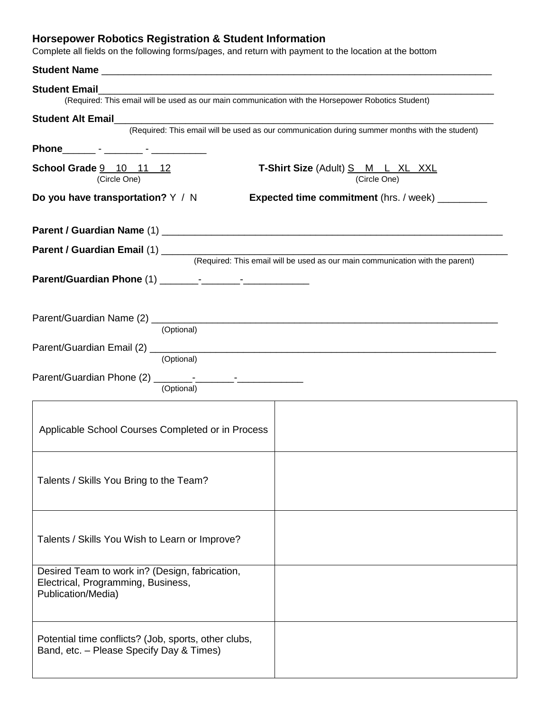## **Horsepower Robotics Registration & Student Information**

Complete all fields on the following forms/pages, and return with payment to the location at the bottom

| <b>Student Email</b><br>(Required: This email will be used as our main communication with the Horsepower Robotics Student) |                                                                                                |
|----------------------------------------------------------------------------------------------------------------------------|------------------------------------------------------------------------------------------------|
| Student Alt Email<br>Student Alt Email                                                                                     |                                                                                                |
|                                                                                                                            | (Required: This email will be used as our communication during summer months with the student) |
| Phone_________ - ________ - ____________                                                                                   |                                                                                                |
| School Grade 9 10 11 12<br>(Circle One)                                                                                    | <b>T-Shirt Size (Adult) S M L XL XXL</b><br>(Circle One)                                       |
| Do you have transportation? Y / N<br><b>Expected time commitment</b> (hrs. / week)                                         |                                                                                                |
|                                                                                                                            |                                                                                                |
|                                                                                                                            |                                                                                                |
|                                                                                                                            | (Required: This email will be used as our main communication with the parent)                  |
|                                                                                                                            |                                                                                                |
|                                                                                                                            |                                                                                                |
|                                                                                                                            |                                                                                                |
| (Optional)                                                                                                                 |                                                                                                |
| (Optional)                                                                                                                 |                                                                                                |
|                                                                                                                            |                                                                                                |
| (Optional)                                                                                                                 |                                                                                                |
|                                                                                                                            |                                                                                                |
| Applicable School Courses Completed or in Process                                                                          |                                                                                                |
|                                                                                                                            |                                                                                                |
| Talents / Skills You Bring to the Team?                                                                                    |                                                                                                |
|                                                                                                                            |                                                                                                |
|                                                                                                                            |                                                                                                |
|                                                                                                                            |                                                                                                |
| Talents / Skills You Wish to Learn or Improve?                                                                             |                                                                                                |
|                                                                                                                            |                                                                                                |
| Desired Team to work in? (Design, fabrication,<br>Electrical, Programming, Business,                                       |                                                                                                |
| Publication/Media)                                                                                                         |                                                                                                |
|                                                                                                                            |                                                                                                |
|                                                                                                                            |                                                                                                |
| Potential time conflicts? (Job, sports, other clubs,<br>Band, etc. - Please Specify Day & Times)                           |                                                                                                |
|                                                                                                                            |                                                                                                |
|                                                                                                                            |                                                                                                |